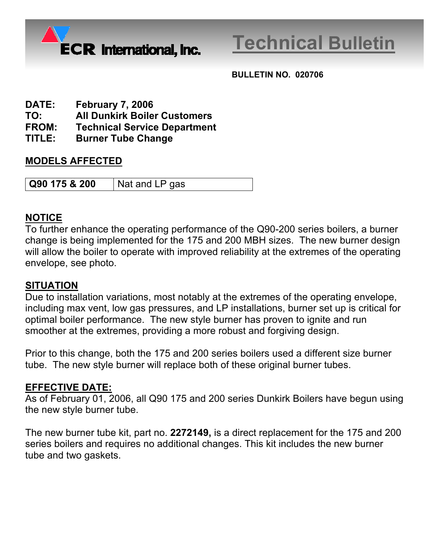

# **Technical Bulletin**

**BULLETIN NO. 020706** 

- **DATE: February 7, 2006**
- **TO: All Dunkirk Boiler Customers**
- **FROM: Technical Service Department**
- **TITLE: Burner Tube Change**

### **MODELS AFFECTED**

**Q90 175 & 200** | Nat and LP gas

#### **NOTICE**

To further enhance the operating performance of the Q90-200 series boilers, a burner change is being implemented for the 175 and 200 MBH sizes. The new burner design will allow the boiler to operate with improved reliability at the extremes of the operating envelope, see photo.

#### **SITUATION**

Due to installation variations, most notably at the extremes of the operating envelope, including max vent, low gas pressures, and LP installations, burner set up is critical for optimal boiler performance. The new style burner has proven to ignite and run smoother at the extremes, providing a more robust and forgiving design.

Prior to this change, both the 175 and 200 series boilers used a different size burner tube. The new style burner will replace both of these original burner tubes.

## **EFFECTIVE DATE:**

As of February 01, 2006, all Q90 175 and 200 series Dunkirk Boilers have begun using the new style burner tube.

The new burner tube kit, part no. **2272149,** is a direct replacement for the 175 and 200 series boilers and requires no additional changes. This kit includes the new burner tube and two gaskets.